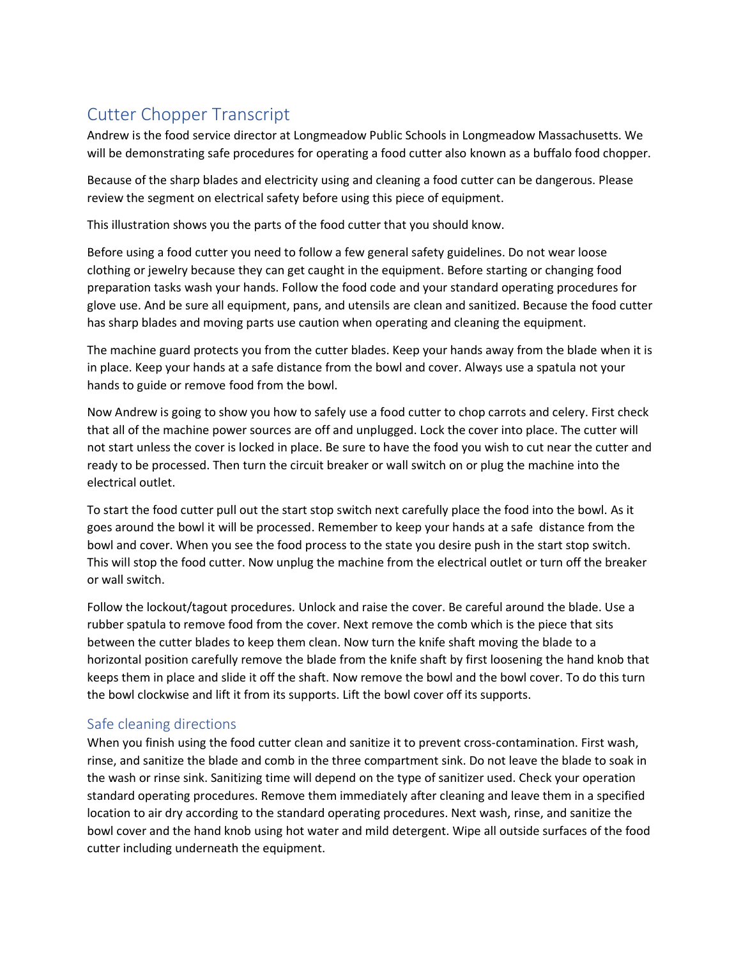## Cutter Chopper Transcript

Andrew is the food service director at Longmeadow Public Schools in Longmeadow Massachusetts. We will be demonstrating safe procedures for operating a food cutter also known as a buffalo food chopper.

Because of the sharp blades and electricity using and cleaning a food cutter can be dangerous. Please review the segment on electrical safety before using this piece of equipment.

This illustration shows you the parts of the food cutter that you should know.

Before using a food cutter you need to follow a few general safety guidelines. Do not wear loose clothing or jewelry because they can get caught in the equipment. Before starting or changing food preparation tasks wash your hands. Follow the food code and your standard operating procedures for glove use. And be sure all equipment, pans, and utensils are clean and sanitized. Because the food cutter has sharp blades and moving parts use caution when operating and cleaning the equipment.

The machine guard protects you from the cutter blades. Keep your hands away from the blade when it is in place. Keep your hands at a safe distance from the bowl and cover. Always use a spatula not your hands to guide or remove food from the bowl.

Now Andrew is going to show you how to safely use a food cutter to chop carrots and celery. First check that all of the machine power sources are off and unplugged. Lock the cover into place. The cutter will not start unless the cover is locked in place. Be sure to have the food you wish to cut near the cutter and ready to be processed. Then turn the circuit breaker or wall switch on or plug the machine into the electrical outlet.

To start the food cutter pull out the start stop switch next carefully place the food into the bowl. As it goes around the bowl it will be processed. Remember to keep your hands at a safe distance from the bowl and cover. When you see the food process to the state you desire push in the start stop switch. This will stop the food cutter. Now unplug the machine from the electrical outlet or turn off the breaker or wall switch.

Follow the lockout/tagout procedures. Unlock and raise the cover. Be careful around the blade. Use a rubber spatula to remove food from the cover. Next remove the comb which is the piece that sits between the cutter blades to keep them clean. Now turn the knife shaft moving the blade to a horizontal position carefully remove the blade from the knife shaft by first loosening the hand knob that keeps them in place and slide it off the shaft. Now remove the bowl and the bowl cover. To do this turn the bowl clockwise and lift it from its supports. Lift the bowl cover off its supports.

## Safe cleaning directions

When you finish using the food cutter clean and sanitize it to prevent cross-contamination. First wash, rinse, and sanitize the blade and comb in the three compartment sink. Do not leave the blade to soak in the wash or rinse sink. Sanitizing time will depend on the type of sanitizer used. Check your operation standard operating procedures. Remove them immediately after cleaning and leave them in a specified location to air dry according to the standard operating procedures. Next wash, rinse, and sanitize the bowl cover and the hand knob using hot water and mild detergent. Wipe all outside surfaces of the food cutter including underneath the equipment.